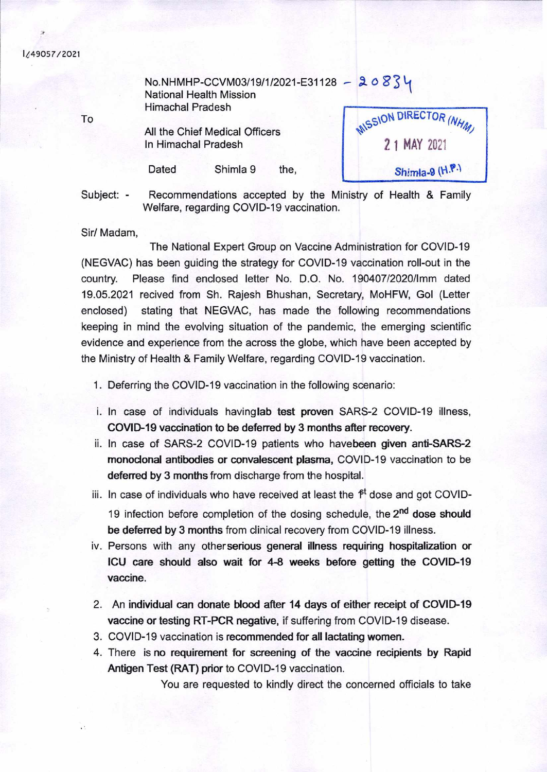## I.'49O57/2O1

No.NHMHP-CCVM03/19/1/2021-E31128 - 20834 National Health Mission Himachal Pradesh

All the Chief Medical Officers In Himachal Pradesh

Dated Shimla 9 the,

**MISSION DIRECTOR (NHM) 21 MAY ZUZI Shimla-9 (H.P.)** 

Subject: - Recommendations accepted by the Ministry of Health & Family Welfare, regarding COVID-19 vaccination.

Sir/ Madam,

The National Expert Group on Vaccine Administration for COVID-19 (NEGVAC) has been guiding the strategy for COVlD-19 vaccination roll-out in the country. Please find enclosed letter No. D.O. No. 190407/2020/1mm dated 19.05.2021 recived from Sh. Rajesh Bhushan, Secretary, MoHFW, Gol (Letter enclosed) stating that NEGVAC, has made the following recommendations keeping in mind the evolving situation of the pandemic, the emerging scientific evidence and experience from the across the globe, which have been accepted by the Ministry of Health & Family Welfare, regarding COVlD-19 vaccination.

1. Deferring the COVID-19 vaccination in the following scenario:

- i. In case of individuals havinglab test proven SARS-2 COVlD-19 illness, **COVID-19 vaccination to be deferred by 3 months after recovery.**
- ii. In case of SARS-2 COVID-19 patients who havebeen **given anti-SARS-2 monoclonal antibodies or convalescent plasma,** COVlD-19 vaccination to be **deferred by 3 months** from discharge from the hospital.
- iii. In case of individuals who have received at least the  $f<sup>t</sup>$  dose and got COVID-19 infection before completion of the dosing schedule, the 2<sup>nd</sup> dose should **be deferred by 3 months** from clinical recovery from COVlD-19 illness.
- iv. Persons with any otherserious **general illness requiring hospitalization or ICU care should also wait for 4-8 weeks before getting the COVID-19 vaccine.**
- 2. An **individual can** donate blood **after 14 days of either receipt of COVID-19 vaccine or testing RT-PCR negative, if suffering from COVID-19 disease.**
- 3. COVID-19 vaccination is recommended **for all lactating women.**
- 4. There is **no requirement for screening of** the vaccine **recipients by Rapid**  Antigen Test (RAT) prior to COVID-19 vaccination.

You are requested to kindly direct the concerned officials to take

To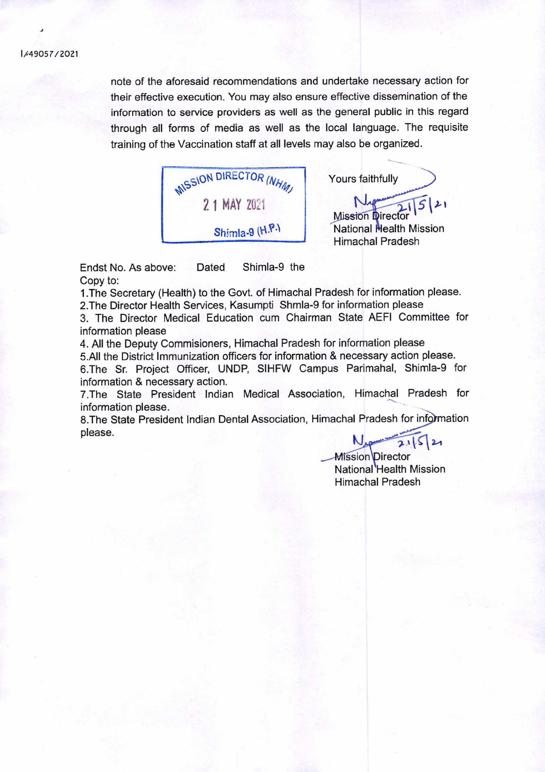note of the aforesaid recommendations and undertake necessary action for their effective execution. You may also ensure effective dissemination of the information to service providers as well as the general public in this regard through all forms of media as well as the local language. The requisite training of the Vaccination staff at all levels may also be organized.

*<u>ONSSION</u> DIRECTOR (NHM)* 2 1 MAY 2021 Shimla-9 (H.P.)

Yours faithfully

**Mission Director** National Health Mission Himachal Pradesh

Endst No. As above: Dated Shimla-9 the Copy to:

1 .The Secretary (Health) to the Govt. of Himachal Pradesh for information please. 2.The Director Health Services, Kasumpti Shmla-9 for information please

3. The Director Medical Education cum Chairman State AEFI Committee for information please

4. All the Deputy Commisioners, Himachal Pradesh for information please 5.All the District Immunization officers for information & necessary action please. 6.The Sr. Project Officer, UNDP, SIHFW Campus Parimahal, Shimla-9 for information & necessary action.

7.The State President Indian Medical Association, Himachal Pradesh for information please.

8.The State President Indian Dental Association, Himachal Pradesh for information please.

 $121$ 

**Mission** Director National Health Mission Himachal Pradesh